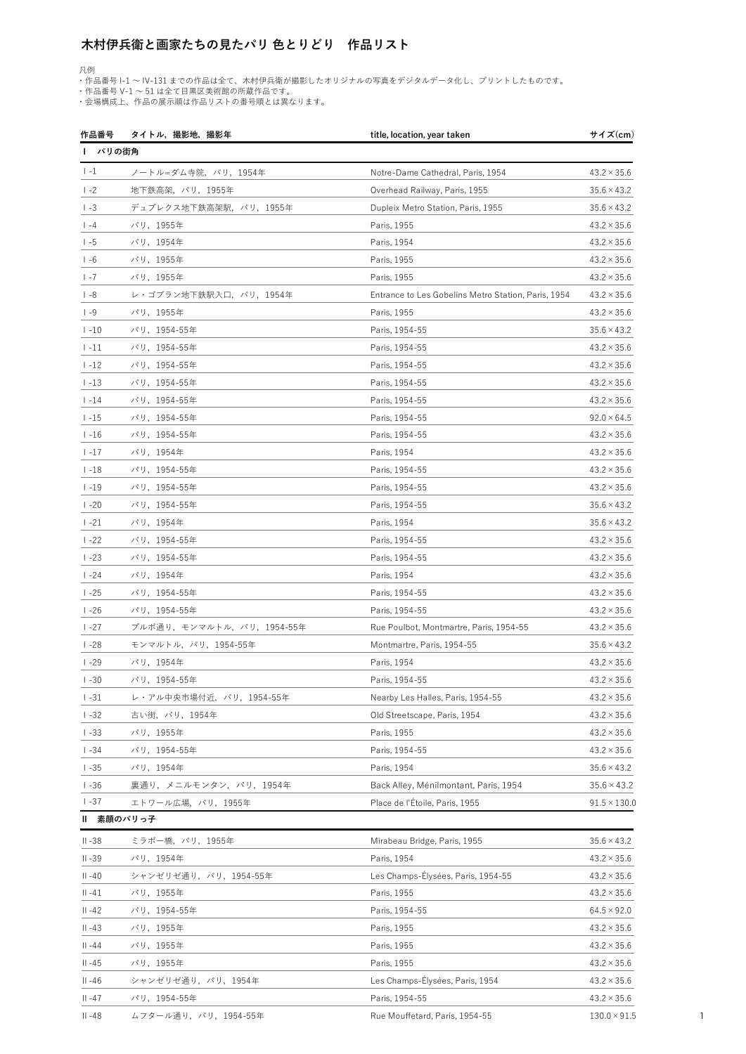## 木村伊兵衛と画家たちの見たパリ 色とりどり 作品リスト

凡例

・作品番号 I-1 〜 IV-131 までの作品は全て、木村伊兵衛が撮影したオリジナルの写真をデジタルデータ化し、プリントしたものです。

・作品番号 V-1 ~ 51 は全て目黒区美術館の所蔵作品です。

・会場構成上、作品の展示順は作品リストの番号順とは異なります。

|           | 作品番号――タイトル,撮影地,撮影年       | title, location, year taken                         | サイズ(cm)                                  |
|-----------|--------------------------|-----------------------------------------------------|------------------------------------------|
|           | パリの街角                    |                                                     |                                          |
| $1 - 1$   | ノートル=ダム寺院, パリ, 1954年     | Notre-Dame Cathedral, Paris, 1954                   | $43.2 \times 35.6$                       |
| $1 - 2$   | 地下鉄高架, パリ, 1955年         | Overhead Railway, Paris, 1955                       | $35.6 \times 43.2$                       |
| $ -3$     | デュプレクス地下鉄高架駅,パリ,1955年    | Dupleix Metro Station, Paris, 1955                  | $35.6 \times 43.2$                       |
| $ -4$     | パリ, 1955年                | Paris, 1955                                         | $43.2 \times 35.6$                       |
| $1 - 5$   | パリ, 1954年                | Paris, 1954                                         | $43.2 \times 35.6$                       |
| $1 - 6$   | パリ, 1955年                | Paris, 1955                                         | $43.2 \times 35.6$                       |
| $1 - 7$   | パリ, 1955年                | Paris, 1955                                         | $43.2 \times 35.6$                       |
| $ -8$     | レ・ゴブラン地下鉄駅入口、パリ, 1954年   | Entrance to Les Gobelins Metro Station, Paris, 1954 | $43.2 \times 35.6$                       |
| $1 - 9$   | パリ, 1955年                | Paris, 1955                                         | $43.2 \times 35.6$                       |
| $1 - 10$  | パリ, 1954-55年             | Paris, 1954-55                                      | $35.6 \times 43.2$                       |
| $1 - 11$  | パリ, 1954-55年             | Paris, 1954-55                                      | $43.2 \times 35.6$                       |
| $1 - 12$  | パリ, 1954-55年             | Paris, 1954-55                                      | $43.2 \times 35.6$                       |
| $1 - 13$  | パリ, 1954-55年             | Paris, 1954-55                                      | $43.2 \times 35.6$                       |
| $1 - 14$  | パリ, 1954-55年             | Paris, 1954-55                                      | $43.2 \times 35.6$                       |
| $1 - 15$  | パリ, 1954-55年             | Paris, 1954-55                                      | $92.0 \times 64.5$                       |
| $1 - 16$  | パリ, 1954-55年             | Paris, 1954-55                                      | $43.2 \times 35.6$                       |
| $1 - 17$  | パリ, 1954年                | Paris, 1954                                         | $43.2 \times 35.6$                       |
| $1 - 18$  | パリ, 1954-55年             | Paris, 1954-55                                      | $43.2 \times 35.6$                       |
| $1 - 19$  | パリ, 1954-55年             | Paris, 1954-55                                      | $43.2 \times 35.6$                       |
| $1 - 20$  | パリ, 1954-55年             | Paris, 1954-55                                      | $35.6 \times 43.2$                       |
| $1 - 21$  | パリ, 1954年                | Paris, 1954                                         | $35.6 \times 43.2$                       |
| $1 - 22$  | パリ, 1954-55年             | Paris, 1954-55                                      | $43.2 \times 35.6$                       |
| $1 - 23$  | パリ, 1954-55年             | Paris, 1954-55                                      | $43.2 \times 35.6$                       |
| $1 - 24$  | パリ, 1954年                | Paris, 1954                                         |                                          |
| $1 - 25$  | パリ, 1954-55年             | Paris, 1954-55                                      |                                          |
| $1 - 26$  | パリ, 1954-55年             | Paris, 1954-55                                      |                                          |
| $1 - 27$  | プルボ通り,モンマルトル,パリ,1954-55年 | Rue Poulbot, Montmartre, Paris, 1954-55             |                                          |
| $1 - 28$  | モンマルトル, パリ, 1954-55年     | Montmartre, Paris, 1954-55                          |                                          |
| $1 - 29$  | パリ, 1954年                | Paris, 1954                                         |                                          |
| $1 - 30$  | パリ,1954-55年              | Paris, 1954-55                                      |                                          |
| $1 - 31$  | レ・アル中央市場付近、パリ, 1954-55年  | Nearby Les Halles, Paris, 1954-55                   |                                          |
| $1 - 32$  | 古い街,パリ,1954年             | Old Streetscape, Paris, 1954                        |                                          |
| $1 - 33$  | パリ, 1955年                | Paris, 1955                                         |                                          |
| $1 - 34$  | パリ, 1954-55年             | Paris, 1954-55                                      |                                          |
| $1 - 35$  | パリ, 1954年                | Paris, 1954                                         |                                          |
| $1 - 36$  | 裏通り,メニルモンタン,パリ,1954年     | Back Alley, Ménilmontant, Paris, 1954               | $35.6 \times 43.2$<br>$35.6 \times 43.2$ |
| $1 - 37$  | エトワール広場,パリ,1955年         | Place de l'Étoile, Paris, 1955                      | $91.5 \times 130.0$                      |
|           | Ⅱ 素顔のパリっ子                |                                                     |                                          |
| $II - 38$ | ミラボー橋,パリ,1955年           | Mirabeau Bridge, Paris, 1955                        | $35.6 \times 43.2$                       |
| $II - 39$ | パリ, 1954年                | Paris, 1954                                         | $43.2 \times 35.6$                       |
| $II - 40$ | シャンゼリゼ通り, パリ, 1954-55年   | Les Champs-Élysées, Paris, 1954-55                  | $43.2 \times 35.6$                       |
| $II - 41$ | パリ, 1955年                | Paris, 1955                                         | $43.2 \times 35.6$                       |
| $II - 42$ | パリ, 1954-55年             | Paris, 1954-55                                      |                                          |
|           |                          |                                                     | $64.5 \times 92.0$                       |
| $II - 43$ | パリ, 1955年                | Paris, 1955                                         | $43.2 \times 35.6$<br>$43.2 \times 35.6$ |
| $   -44$  | パリ, 1955年                | Paris, 1955                                         | $43.2 \times 35.6$                       |
| $II -45$  | パリ, 1955年                | Paris, 1955                                         | $43.2 \times 35.6$                       |
| $II - 46$ | シャンゼリゼ通り, パリ, 1954年      | Les Champs-Élysées, Paris, 1954                     |                                          |
| $II - 47$ | パリ, 1954-55年             | Paris, 1954-55                                      |                                          |
| II-48     | ムフタール通り,パリ,1954-55年      | Rue Mouffetard, Paris, 1954-55                      | $130.0 \times 91.5$                      |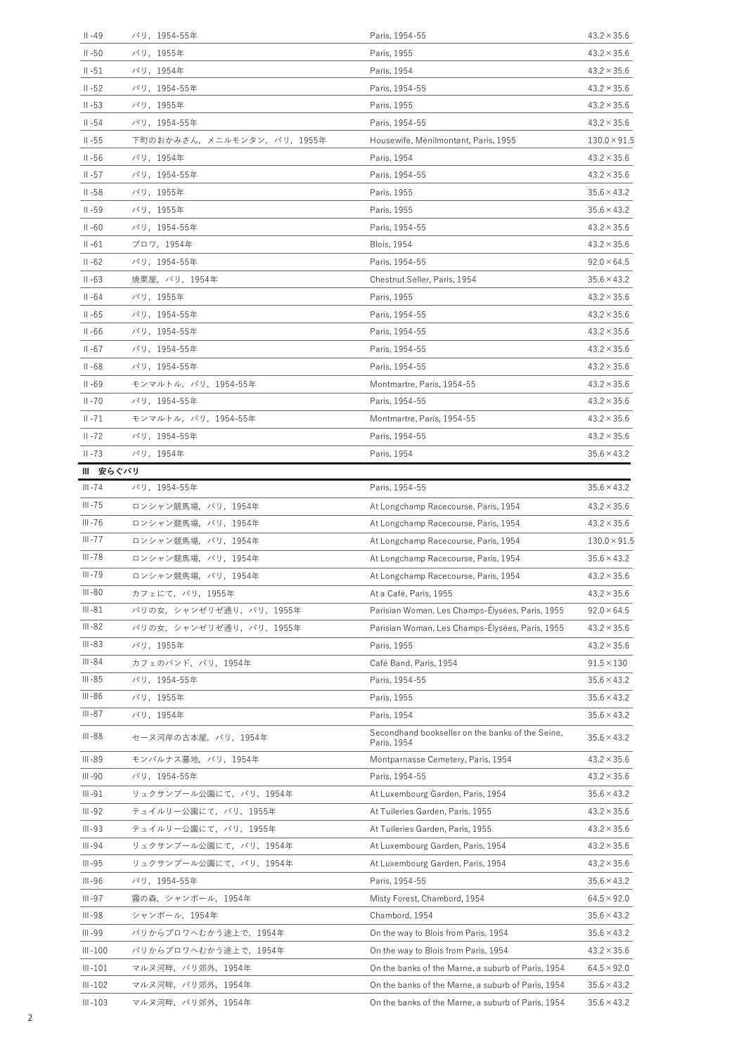| $II - 49$   | パリ, 1954-55年              | Paris, 1954-55                                                  | $43.2 \times 35.6$  |
|-------------|---------------------------|-----------------------------------------------------------------|---------------------|
| $II - 50$   | パリ,1955年                  | Paris, 1955                                                     | $43.2 \times 35.6$  |
| $II - 51$   | パリ,1954年                  | Paris, 1954                                                     | $43.2 \times 35.6$  |
| $II - 52$   | パリ, 1954-55年              | Paris, 1954-55                                                  | $43.2 \times 35.6$  |
| $II - 53$   | パリ, 1955年                 | Paris, 1955                                                     | $43.2 \times 35.6$  |
| $II - 54$   | パリ,1954-55年               | Paris, 1954-55                                                  | $43.2 \times 35.6$  |
| $II - 55$   | 下町のおかみさん,メニルモンタン,パリ,1955年 | Housewife, Ménilmontant, Paris, 1955                            | $130.0 \times 91.5$ |
| $II - 56$   | パリ, 1954年                 | Paris, 1954                                                     | $43.2 \times 35.6$  |
| $II - 57$   | パリ, 1954-55年              | Paris, 1954-55                                                  | $43.2 \times 35.6$  |
| $II - 58$   | パリ,1955年                  | Paris, 1955                                                     | $35.6 \times 43.2$  |
| $II - 59$   | パリ,1955年                  | Paris, 1955                                                     | $35.6 \times 43.2$  |
| $II - 60$   | パリ, 1954-55年              | Paris, 1954-55                                                  | $43.2 \times 35.6$  |
| $II - 61$   | ブロワ,1954年                 | <b>Blois, 1954</b>                                              | $43.2 \times 35.6$  |
| $II - 62$   | パリ, 1954-55年              | Paris, 1954-55                                                  | $92.0 \times 64.5$  |
| $II - 63$   | 焼栗屋,パリ,1954年              | Chestnut Seller, Paris, 1954                                    | $35.6 \times 43.2$  |
| $II - 64$   | パリ,1955年                  | Paris, 1955                                                     | $43.2 \times 35.6$  |
| $II - 65$   | パリ, 1954-55年              | Paris, 1954-55                                                  | $43.2 \times 35.6$  |
| $II - 66$   | パリ,1954-55年               | Paris, 1954-55                                                  | $43.2 \times 35.6$  |
| $II - 67$   | パリ, 1954-55年              | Paris, 1954-55                                                  | $43.2 \times 35.6$  |
| $II - 68$   | パリ, 1954-55年              | Paris, 1954-55                                                  | $43.2 \times 35.6$  |
| $II - 69$   | モンマルトル、パリ、1954-55年        | Montmartre, Paris, 1954-55                                      | $43.2 \times 35.6$  |
| $II - 70$   | パリ, 1954-55年              | Paris, 1954-55                                                  | $43.2 \times 35.6$  |
| $II - 71$   | モンマルトル, パリ, 1954-55年      | Montmartre, Paris, 1954-55                                      | $43.2 \times 35.6$  |
| $II - 72$   | パリ,1954-55年               | Paris, 1954-55                                                  | $43.2 \times 35.6$  |
| $II - 73$   | パリ,1954年                  | Paris, 1954                                                     | $35.6 \times 43.2$  |
| Ⅲ 安らぐパリ     |                           |                                                                 |                     |
| $III - 74$  | パリ,1954-55年               | Paris, 1954-55                                                  | $35.6 \times 43.2$  |
| $III - 75$  | ロンシャン競馬場, パリ, 1954年       | At Longchamp Racecourse, Paris, 1954                            | $43.2 \times 35.6$  |
| $III - 76$  | ロンシャン競馬場、パリ、1954年         | At Longchamp Racecourse, Paris, 1954                            | $43.2 \times 35.6$  |
| $III - 77$  | ロンシャン競馬場、パリ、1954年         | At Longchamp Racecourse, Paris, 1954                            | $130.0 \times 91.5$ |
| III-78      | ロンシャン競馬場,パリ,1954年         | At Longchamp Racecourse, Paris, 1954                            | $35.6 \times 43.2$  |
| $III - 79$  | ロンシャン競馬場,パリ,1954年         | At Longchamp Racecourse, Paris, 1954                            | $43.2 \times 35.6$  |
| III-80      | カフェにて、パリ、1955年            | At a Café, Paris, 1955                                          | $43.2 \times 35.6$  |
| III-81      | パリの女,シャンゼリゼ通り,パリ,1955年    | Parisian Woman, Les Champs-Elysées, Paris, 1955                 | $92.0 \times 64.5$  |
| III-82      | パリの女,シャンゼリゼ通り,パリ,1955年    | Parisian Woman, Les Champs-Élysées, Paris, 1955                 | $43.2 \times 35.6$  |
| $III - 83$  | パリ, 1955年                 | Paris, 1955                                                     | $43.2 \times 35.6$  |
| III-84      | カフェのバンド,パリ,1954年          | Café Band, Paris, 1954                                          | $91.5 \times 130$   |
| $III - 85$  | パリ,1954-55年               | Paris, 1954-55                                                  | $35.6 \times 43.2$  |
| III-86      | パリ, 1955年                 | Paris, 1955                                                     | $35.6 \times 43.2$  |
| III-87      | パリ,1954年                  | Paris, 1954                                                     | $35.6 \times 43.2$  |
| $III - 88$  | セーヌ河岸の古本屋,パリ,1954年        | Secondhand bookseller on the banks of the Seine,<br>Paris, 1954 | $35.6 \times 43.2$  |
| III-89      | モンパルナス墓地、パリ、1954年         | Montparnasse Cemetery, Paris, 1954                              | $43.2 \times 35.6$  |
| III-90      | パリ, 1954-55年              | Paris, 1954-55                                                  | $43.2 \times 35.6$  |
| $III - 91$  | リュクサンブール公園にて、パリ, 1954年    | At Luxembourg Garden, Paris, 1954                               | $35.6 \times 43.2$  |
| $III - 92$  | テュイルリー公園にて,パリ,1955年       | At Tuileries Garden, Paris, 1955                                | $43.2 \times 35.6$  |
| $III - 93$  | テュイルリー公園にて,パリ,1955年       | At Tuileries Garden, Paris, 1955                                | $43.2 \times 35.6$  |
| III-94      | リュクサンブール公園にて,パリ,1954年     | At Luxembourg Garden, Paris, 1954                               | $43.2 \times 35.6$  |
| $III - 95$  | リュクサンブール公園にて、パリ、1954年     | At Luxembourg Garden, Paris, 1954                               | $43.2 \times 35.6$  |
| $III - 96$  | パリ, 1954-55年              | Paris, 1954-55                                                  | $35.6 \times 43.2$  |
| $III - 97$  | 霧の森,シャンボール,1954年          | Misty Forest, Chambord, 1954                                    | $64.5 \times 92.0$  |
|             |                           |                                                                 |                     |
| $III - 98$  | シャンボール, 1954年             | Chambord, 1954                                                  | $35.6 \times 43.2$  |
| $III - 99$  | パリからブロワへむかう途上で,1954年      | On the way to Blois from Paris, 1954                            | $35.6 \times 43.2$  |
| $III - 100$ | パリからブロワへむかう途上で,1954年      | On the way to Blois from Paris, 1954                            | $43.2 \times 35.6$  |
| $III - 101$ | マルヌ河畔,パリ郊外,1954年          | On the banks of the Marne, a suburb of Paris, 1954              | $64.5 \times 92.0$  |
| $III - 102$ | マルヌ河畔,パリ郊外,1954年          | On the banks of the Marne, a suburb of Paris, 1954              | $35.6 \times 43.2$  |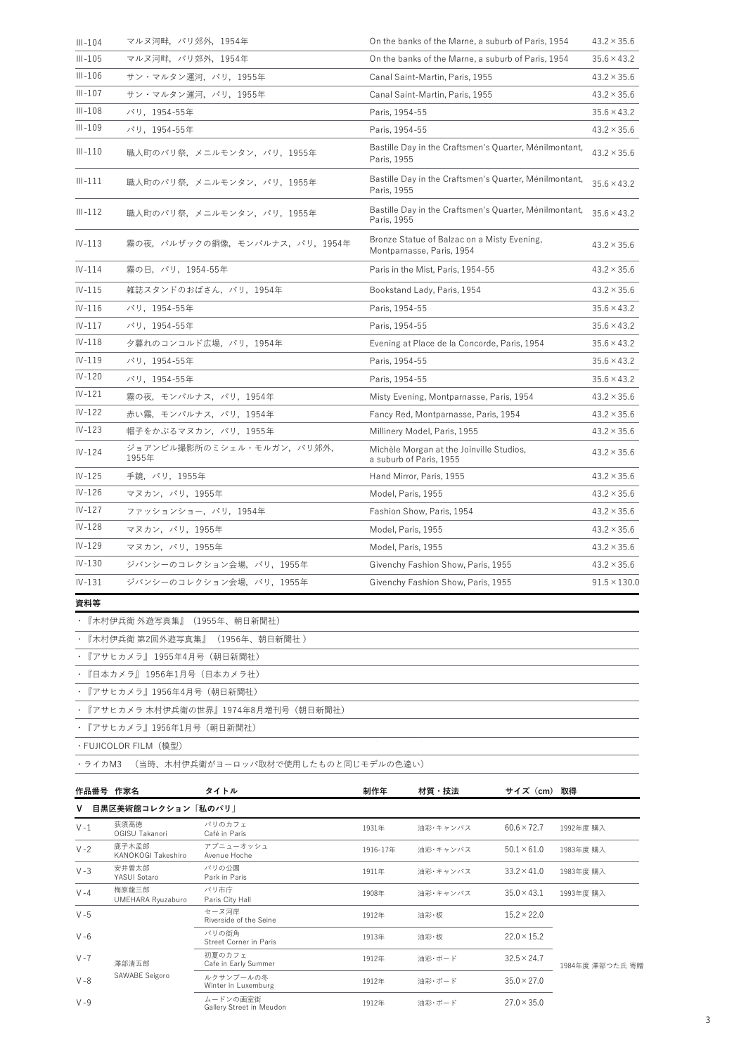| $III - 105$<br>マルヌ河畔,パリ郊外,1954年<br>$35.6 \times 43.2$<br>On the banks of the Marne, a suburb of Paris, 1954<br>$III - 106$<br>サン・マルタン運河,パリ,1955年<br>Canal Saint-Martin, Paris, 1955<br>$43.2 \times 35.6$<br>$III - 107$<br>サン・マルタン運河、パリ、1955年<br>Canal Saint-Martin, Paris, 1955<br>$43.2 \times 35.6$<br>$III - 108$<br>パリ, 1954-55年<br>Paris, 1954-55<br>$35.6 \times 43.2$<br>$III - 109$<br>パリ, 1954-55年<br>Paris, 1954-55<br>$43.2 \times 35.6$<br>Bastille Day in the Craftsmen's Quarter, Ménilmontant,<br>$III - 110$<br>$43.2 \times 35.6$<br>職人町のパリ祭, メニルモンタン, パリ, 1955年<br>Paris, 1955<br>Bastille Day in the Craftsmen's Quarter, Ménilmontant,<br>$III - 111$<br>職人町のパリ祭,メニルモンタン,パリ,1955年<br>$35.6 \times 43.2$<br>Paris, 1955<br>Bastille Day in the Craftsmen's Quarter, Ménilmontant,<br>$III - 112$<br>$35.6 \times 43.2$<br>職人町のパリ祭,メニルモンタン,パリ,1955年<br>Paris, 1955<br>Bronze Statue of Balzac on a Misty Evening,<br>霧の夜、バルザックの銅像、モンパルナス、パリ、1954年<br>$IV-113$<br>$43.2 \times 35.6$<br>Montparnasse, Paris, 1954<br>$IV-114$<br>霧の日, パリ, 1954-55年<br>Paris in the Mist, Paris, 1954-55<br>$43.2 \times 35.6$<br>$IV-115$<br>雑誌スタンドのおばさん, パリ, 1954年<br>Bookstand Lady, Paris, 1954<br>$43.2 \times 35.6$<br>$IV-116$<br>パリ, 1954-55年<br>Paris, 1954-55<br>$35.6 \times 43.2$<br>$IV-117$<br>パリ, 1954-55年<br>Paris, 1954-55<br>$35.6 \times 43.2$<br>$IV-118$<br>夕暮れのコンコルド広場,パリ,1954年<br>Evening at Place de la Concorde, Paris, 1954<br>$35.6 \times 43.2$<br>$IV-119$<br>パリ, 1954-55年<br>Paris, 1954-55<br>$35.6 \times 43.2$<br>$IV - 120$<br>$35.6 \times 43.2$<br>パリ,1954-55年<br>Paris, 1954-55<br>$IV-121$<br>霧の夜,モンパルナス,パリ,1954年<br>Misty Evening, Montparnasse, Paris, 1954<br>$43.2 \times 35.6$<br>$IV-122$<br>赤い霧、モンパルナス、パリ、1954年<br>Fancy Red, Montparnasse, Paris, 1954<br>$43.2 \times 35.6$<br>$IV-123$<br>帽子をかぶるマヌカン, パリ, 1955年<br>Millinery Model, Paris, 1955<br>$43.2 \times 35.6$<br>ジョアンビル撮影所のミシェル・モルガン、パリ郊外,<br>Michèle Morgan at the Joinville Studios,<br>$IV-124$<br>$43.2 \times 35.6$<br>1955年<br>a suburb of Paris, 1955<br>$IV-125$<br>手鏡, パリ, 1955年<br>Hand Mirror, Paris, 1955<br>$43.2 \times 35.6$<br>$IV-126$<br>マヌカン, パリ, 1955年<br>Model, Paris, 1955<br>$43.2 \times 35.6$<br>$IV-127$<br>ファッションショー, パリ, 1954年<br>Fashion Show, Paris, 1954<br>$43.2 \times 35.6$<br>$IV-128$<br>マヌカン,パリ,1955年<br>Model, Paris, 1955<br>$43.2 \times 35.6$<br>$IV-129$<br>マヌカン, パリ, 1955年<br>Model, Paris, 1955<br>$43.2 \times 35.6$<br>$IV-130$<br>ジバンシーのコレクション会場, パリ, 1955年<br>Givenchy Fashion Show, Paris, 1955<br>$43.2 \times 35.6$<br>$IV-131$<br>ジバンシーのコレクション会場,パリ,1955年<br>Givenchy Fashion Show, Paris, 1955 | $III - 104$ | マルヌ河畔,パリ郊外,1954年 | On the banks of the Marne, a suburb of Paris, 1954 | $43.2 \times 35.6$  |
|---------------------------------------------------------------------------------------------------------------------------------------------------------------------------------------------------------------------------------------------------------------------------------------------------------------------------------------------------------------------------------------------------------------------------------------------------------------------------------------------------------------------------------------------------------------------------------------------------------------------------------------------------------------------------------------------------------------------------------------------------------------------------------------------------------------------------------------------------------------------------------------------------------------------------------------------------------------------------------------------------------------------------------------------------------------------------------------------------------------------------------------------------------------------------------------------------------------------------------------------------------------------------------------------------------------------------------------------------------------------------------------------------------------------------------------------------------------------------------------------------------------------------------------------------------------------------------------------------------------------------------------------------------------------------------------------------------------------------------------------------------------------------------------------------------------------------------------------------------------------------------------------------------------------------------------------------------------------------------------------------------------------------------------------------------------------------------------------------------------------------------------------------------------------------------------------------------------------------------------------------------------------------------------------------------------------------------------------------------------------------------------------------------------------------------------------------------------------------------------------------------------------------------------------------------------------------------------------------------------------------------------------------------------|-------------|------------------|----------------------------------------------------|---------------------|
|                                                                                                                                                                                                                                                                                                                                                                                                                                                                                                                                                                                                                                                                                                                                                                                                                                                                                                                                                                                                                                                                                                                                                                                                                                                                                                                                                                                                                                                                                                                                                                                                                                                                                                                                                                                                                                                                                                                                                                                                                                                                                                                                                                                                                                                                                                                                                                                                                                                                                                                                                                                                                                                               |             |                  |                                                    |                     |
|                                                                                                                                                                                                                                                                                                                                                                                                                                                                                                                                                                                                                                                                                                                                                                                                                                                                                                                                                                                                                                                                                                                                                                                                                                                                                                                                                                                                                                                                                                                                                                                                                                                                                                                                                                                                                                                                                                                                                                                                                                                                                                                                                                                                                                                                                                                                                                                                                                                                                                                                                                                                                                                               |             |                  |                                                    |                     |
|                                                                                                                                                                                                                                                                                                                                                                                                                                                                                                                                                                                                                                                                                                                                                                                                                                                                                                                                                                                                                                                                                                                                                                                                                                                                                                                                                                                                                                                                                                                                                                                                                                                                                                                                                                                                                                                                                                                                                                                                                                                                                                                                                                                                                                                                                                                                                                                                                                                                                                                                                                                                                                                               |             |                  |                                                    |                     |
|                                                                                                                                                                                                                                                                                                                                                                                                                                                                                                                                                                                                                                                                                                                                                                                                                                                                                                                                                                                                                                                                                                                                                                                                                                                                                                                                                                                                                                                                                                                                                                                                                                                                                                                                                                                                                                                                                                                                                                                                                                                                                                                                                                                                                                                                                                                                                                                                                                                                                                                                                                                                                                                               |             |                  |                                                    |                     |
|                                                                                                                                                                                                                                                                                                                                                                                                                                                                                                                                                                                                                                                                                                                                                                                                                                                                                                                                                                                                                                                                                                                                                                                                                                                                                                                                                                                                                                                                                                                                                                                                                                                                                                                                                                                                                                                                                                                                                                                                                                                                                                                                                                                                                                                                                                                                                                                                                                                                                                                                                                                                                                                               |             |                  |                                                    |                     |
|                                                                                                                                                                                                                                                                                                                                                                                                                                                                                                                                                                                                                                                                                                                                                                                                                                                                                                                                                                                                                                                                                                                                                                                                                                                                                                                                                                                                                                                                                                                                                                                                                                                                                                                                                                                                                                                                                                                                                                                                                                                                                                                                                                                                                                                                                                                                                                                                                                                                                                                                                                                                                                                               |             |                  |                                                    |                     |
|                                                                                                                                                                                                                                                                                                                                                                                                                                                                                                                                                                                                                                                                                                                                                                                                                                                                                                                                                                                                                                                                                                                                                                                                                                                                                                                                                                                                                                                                                                                                                                                                                                                                                                                                                                                                                                                                                                                                                                                                                                                                                                                                                                                                                                                                                                                                                                                                                                                                                                                                                                                                                                                               |             |                  |                                                    |                     |
|                                                                                                                                                                                                                                                                                                                                                                                                                                                                                                                                                                                                                                                                                                                                                                                                                                                                                                                                                                                                                                                                                                                                                                                                                                                                                                                                                                                                                                                                                                                                                                                                                                                                                                                                                                                                                                                                                                                                                                                                                                                                                                                                                                                                                                                                                                                                                                                                                                                                                                                                                                                                                                                               |             |                  |                                                    |                     |
|                                                                                                                                                                                                                                                                                                                                                                                                                                                                                                                                                                                                                                                                                                                                                                                                                                                                                                                                                                                                                                                                                                                                                                                                                                                                                                                                                                                                                                                                                                                                                                                                                                                                                                                                                                                                                                                                                                                                                                                                                                                                                                                                                                                                                                                                                                                                                                                                                                                                                                                                                                                                                                                               |             |                  |                                                    |                     |
|                                                                                                                                                                                                                                                                                                                                                                                                                                                                                                                                                                                                                                                                                                                                                                                                                                                                                                                                                                                                                                                                                                                                                                                                                                                                                                                                                                                                                                                                                                                                                                                                                                                                                                                                                                                                                                                                                                                                                                                                                                                                                                                                                                                                                                                                                                                                                                                                                                                                                                                                                                                                                                                               |             |                  |                                                    |                     |
|                                                                                                                                                                                                                                                                                                                                                                                                                                                                                                                                                                                                                                                                                                                                                                                                                                                                                                                                                                                                                                                                                                                                                                                                                                                                                                                                                                                                                                                                                                                                                                                                                                                                                                                                                                                                                                                                                                                                                                                                                                                                                                                                                                                                                                                                                                                                                                                                                                                                                                                                                                                                                                                               |             |                  |                                                    |                     |
|                                                                                                                                                                                                                                                                                                                                                                                                                                                                                                                                                                                                                                                                                                                                                                                                                                                                                                                                                                                                                                                                                                                                                                                                                                                                                                                                                                                                                                                                                                                                                                                                                                                                                                                                                                                                                                                                                                                                                                                                                                                                                                                                                                                                                                                                                                                                                                                                                                                                                                                                                                                                                                                               |             |                  |                                                    |                     |
|                                                                                                                                                                                                                                                                                                                                                                                                                                                                                                                                                                                                                                                                                                                                                                                                                                                                                                                                                                                                                                                                                                                                                                                                                                                                                                                                                                                                                                                                                                                                                                                                                                                                                                                                                                                                                                                                                                                                                                                                                                                                                                                                                                                                                                                                                                                                                                                                                                                                                                                                                                                                                                                               |             |                  |                                                    |                     |
|                                                                                                                                                                                                                                                                                                                                                                                                                                                                                                                                                                                                                                                                                                                                                                                                                                                                                                                                                                                                                                                                                                                                                                                                                                                                                                                                                                                                                                                                                                                                                                                                                                                                                                                                                                                                                                                                                                                                                                                                                                                                                                                                                                                                                                                                                                                                                                                                                                                                                                                                                                                                                                                               |             |                  |                                                    |                     |
|                                                                                                                                                                                                                                                                                                                                                                                                                                                                                                                                                                                                                                                                                                                                                                                                                                                                                                                                                                                                                                                                                                                                                                                                                                                                                                                                                                                                                                                                                                                                                                                                                                                                                                                                                                                                                                                                                                                                                                                                                                                                                                                                                                                                                                                                                                                                                                                                                                                                                                                                                                                                                                                               |             |                  |                                                    |                     |
|                                                                                                                                                                                                                                                                                                                                                                                                                                                                                                                                                                                                                                                                                                                                                                                                                                                                                                                                                                                                                                                                                                                                                                                                                                                                                                                                                                                                                                                                                                                                                                                                                                                                                                                                                                                                                                                                                                                                                                                                                                                                                                                                                                                                                                                                                                                                                                                                                                                                                                                                                                                                                                                               |             |                  |                                                    |                     |
|                                                                                                                                                                                                                                                                                                                                                                                                                                                                                                                                                                                                                                                                                                                                                                                                                                                                                                                                                                                                                                                                                                                                                                                                                                                                                                                                                                                                                                                                                                                                                                                                                                                                                                                                                                                                                                                                                                                                                                                                                                                                                                                                                                                                                                                                                                                                                                                                                                                                                                                                                                                                                                                               |             |                  |                                                    |                     |
|                                                                                                                                                                                                                                                                                                                                                                                                                                                                                                                                                                                                                                                                                                                                                                                                                                                                                                                                                                                                                                                                                                                                                                                                                                                                                                                                                                                                                                                                                                                                                                                                                                                                                                                                                                                                                                                                                                                                                                                                                                                                                                                                                                                                                                                                                                                                                                                                                                                                                                                                                                                                                                                               |             |                  |                                                    |                     |
|                                                                                                                                                                                                                                                                                                                                                                                                                                                                                                                                                                                                                                                                                                                                                                                                                                                                                                                                                                                                                                                                                                                                                                                                                                                                                                                                                                                                                                                                                                                                                                                                                                                                                                                                                                                                                                                                                                                                                                                                                                                                                                                                                                                                                                                                                                                                                                                                                                                                                                                                                                                                                                                               |             |                  |                                                    |                     |
|                                                                                                                                                                                                                                                                                                                                                                                                                                                                                                                                                                                                                                                                                                                                                                                                                                                                                                                                                                                                                                                                                                                                                                                                                                                                                                                                                                                                                                                                                                                                                                                                                                                                                                                                                                                                                                                                                                                                                                                                                                                                                                                                                                                                                                                                                                                                                                                                                                                                                                                                                                                                                                                               |             |                  |                                                    |                     |
|                                                                                                                                                                                                                                                                                                                                                                                                                                                                                                                                                                                                                                                                                                                                                                                                                                                                                                                                                                                                                                                                                                                                                                                                                                                                                                                                                                                                                                                                                                                                                                                                                                                                                                                                                                                                                                                                                                                                                                                                                                                                                                                                                                                                                                                                                                                                                                                                                                                                                                                                                                                                                                                               |             |                  |                                                    |                     |
|                                                                                                                                                                                                                                                                                                                                                                                                                                                                                                                                                                                                                                                                                                                                                                                                                                                                                                                                                                                                                                                                                                                                                                                                                                                                                                                                                                                                                                                                                                                                                                                                                                                                                                                                                                                                                                                                                                                                                                                                                                                                                                                                                                                                                                                                                                                                                                                                                                                                                                                                                                                                                                                               |             |                  |                                                    |                     |
|                                                                                                                                                                                                                                                                                                                                                                                                                                                                                                                                                                                                                                                                                                                                                                                                                                                                                                                                                                                                                                                                                                                                                                                                                                                                                                                                                                                                                                                                                                                                                                                                                                                                                                                                                                                                                                                                                                                                                                                                                                                                                                                                                                                                                                                                                                                                                                                                                                                                                                                                                                                                                                                               |             |                  |                                                    |                     |
|                                                                                                                                                                                                                                                                                                                                                                                                                                                                                                                                                                                                                                                                                                                                                                                                                                                                                                                                                                                                                                                                                                                                                                                                                                                                                                                                                                                                                                                                                                                                                                                                                                                                                                                                                                                                                                                                                                                                                                                                                                                                                                                                                                                                                                                                                                                                                                                                                                                                                                                                                                                                                                                               |             |                  |                                                    |                     |
|                                                                                                                                                                                                                                                                                                                                                                                                                                                                                                                                                                                                                                                                                                                                                                                                                                                                                                                                                                                                                                                                                                                                                                                                                                                                                                                                                                                                                                                                                                                                                                                                                                                                                                                                                                                                                                                                                                                                                                                                                                                                                                                                                                                                                                                                                                                                                                                                                                                                                                                                                                                                                                                               |             |                  |                                                    |                     |
|                                                                                                                                                                                                                                                                                                                                                                                                                                                                                                                                                                                                                                                                                                                                                                                                                                                                                                                                                                                                                                                                                                                                                                                                                                                                                                                                                                                                                                                                                                                                                                                                                                                                                                                                                                                                                                                                                                                                                                                                                                                                                                                                                                                                                                                                                                                                                                                                                                                                                                                                                                                                                                                               |             |                  |                                                    |                     |
|                                                                                                                                                                                                                                                                                                                                                                                                                                                                                                                                                                                                                                                                                                                                                                                                                                                                                                                                                                                                                                                                                                                                                                                                                                                                                                                                                                                                                                                                                                                                                                                                                                                                                                                                                                                                                                                                                                                                                                                                                                                                                                                                                                                                                                                                                                                                                                                                                                                                                                                                                                                                                                                               |             |                  |                                                    | $91.5 \times 130.0$ |

## **<br>資料等**

|  |  |  | ・『木村伊兵衛 外遊写真集』(1955年、朝日新聞社) |  |
|--|--|--|-----------------------------|--|
|--|--|--|-----------------------------|--|

-<br>・『木村伊兵衛 第2回外遊写真集』 (1956年、朝日新聞社 )

•『アサヒカメラ』1955年4月号(朝日新聞社)

•『日本カメラ』1956年1月号 (日本カメラ社)

•『アサヒカメラ』1956年4月号(朝日新聞社)

•『アサヒカメラ 木村伊兵衛の世界』1974年8月増刊号(朝日新聞社)

・『アサヒカメラ』1956年1月号(朝日新聞社)

・FUJICOLOR FILM(模型) しょうしょうしょう あいしん あいしん しゅうしん しゅうしん しゅうしゅう

·ライカM3 (当時、木村伊兵衛がヨーロッパ取材で使用したものと同じモデルの色違い)

| 作品番号 作家名                                           | タイトル                                 | 制作年      | 材質・技法    | <b>サイズ(cm) 取得</b>                     |  |
|----------------------------------------------------|--------------------------------------|----------|----------|---------------------------------------|--|
| ′ 目黒区美術館コレクション「私のパリ」                               |                                      |          |          |                                       |  |
| 荻須高徳<br>$V - 1$<br>OGISU Takanori<br>$\frac{1}{2}$ | パリのカフェ<br>Café in Paris              | 1931年    | 油彩・キャンバス | $60.6 \times 72.7$<br>1992年度 購入       |  |
| 鹿子木孟郎<br>$V - 2$<br>KANOKOGI Takeshiro             | アブニューオッシュ<br>Avenue Hoche            | 1916-17年 | 油彩・キャンバス | $50.1 \times 61.0$<br>1983年度 購入       |  |
| 安井曽太郎<br>$V - 3$<br>YASUI Sotaro<br>___            | パリの公園<br>Park in Paris               | 1911年    | 油彩・キャンバス | $33.2 \times 41.0$<br>1983年度 購入       |  |
| 梅原龍三郎<br>$V - 4$<br>UMEHARA Ryuzaburo              | パリ市庁<br>Paris City Hall              | 1908年    | 油彩・キャンバス | $35.0 \times 43.1$<br>1993年度 購入       |  |
| $V - 5$                                            | セーヌ河岸<br>Riverside of the Seine      | 1912年    | 油彩・板     | $15.2 \times 22.0$                    |  |
| $V - 6$                                            | パリの街角<br>Street Corner in Paris      | 1913年    | 油彩・板     | $22.0 \times 15.2$                    |  |
| $V - 7$<br>澤部清五郎                                   | 初夏のカフェ<br>Cafe in Early Summer       | 1912年    | 油彩・ボード   | $32.5 \times 24.7$<br>1984年度 澤部つた氏 寄贈 |  |
| SAWABE Seigoro<br>$V - 8$                          | ルクサンブールの冬<br>Winter in Luxemburg     | 1912年    | 油彩・ボード   | $35.0 \times 27.0$                    |  |
| $V - 9$                                            | ムードンの画室街<br>Gallery Street in Meudon | 1912年    | 油彩・ボード   | $27.0 \times 35.0$                    |  |